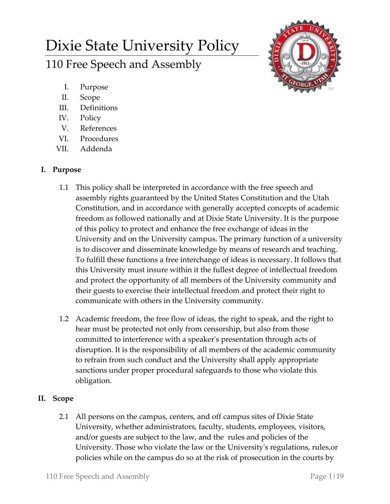# Dixie State University Policy 110 Free Speech and Assembly



- I. Purpose
- II. Scope
- III. Definitions
- IV. Policy
- V. References
- VI. Procedures
- VII. Addenda

# **I. Purpose**

- 1.1 This policy shall be interpreted in accordance with the free speech and assembly rights guaranteed by the United States Constitution and the Utah Constitution, and in accordance with generally accepted concepts of academic freedom as followed nationally and at Dixie State University. It is the purpose of this policy to protect and enhance the free exchange of ideas in the University and on the University campus. The primary function of a university is to discover and disseminate knowledge by means of research and teaching. To fulfill these functions a free interchange of ideas is necessary. It follows that this University must insure within it the fullest degree of intellectual freedom and protect the opportunity of all members of the University community and their guests to exercise their intellectual freedom and protect their right to communicate with others in the University community.
- 1.2 Academic freedom, the free flow of ideas, the right to speak, and the right to hear must be protected not only from censorship, but also from those committed to interference with a speaker's presentation through acts of disruption. It is the responsibility of all members of the academic community to refrain from such conduct and the University shall apply appropriate sanctions under proper procedural safeguards to those who violate this obligation.

# **II. Scope**

2.1 All persons on the campus, centers, and off campus sites of Dixie State University, whether administrators, faculty, students, employees, visitors, and/or guests are subject to the law, and the rules and policies of the University. Those who violate the law or the University's regulations, rules,or policies while on the campus do so at the risk of prosecution in the courts by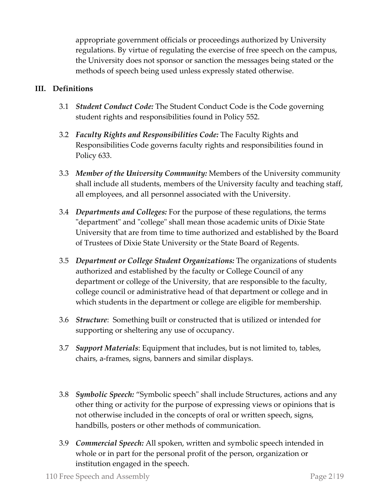appropriate government officials or proceedings authorized by University regulations. By virtue of regulating the exercise of free speech on the campus, the University does not sponsor or sanction the messages being stated or the methods of speech being used unless expressly stated otherwise.

## **III. Definitions**

- 3.1 *Student Conduct Code:* The Student Conduct Code is the Code governing student rights and responsibilities found in Policy 552.
- 3.2 *Faculty Rights and Responsibilities Code:* The Faculty Rights and Responsibilities Code governs faculty rights and responsibilities found in Policy 633.
- 3.3 *Member of the University Community:* Members of the University community shall include all students, members of the University faculty and teaching staff, all employees, and all personnel associated with the University.
- 3.4 *Departments and Colleges:* For the purpose of these regulations, the terms "department" and "college" shall mean those academic units of Dixie State University that are from time to time authorized and established by the Board of Trustees of Dixie State University or the State Board of Regents.
- 3.5 *Department or College Student Organizations:* The organizations of students authorized and established by the faculty or College Council of any department or college of the University, that are responsible to the faculty, college council or administrative head of that department or college and in which students in the department or college are eligible for membership.
- 3.6 *Structure*: Something built or constructed that is utilized or intended for supporting or sheltering any use of occupancy.
- 3.7 *Support Materials*: Equipment that includes, but is not limited to, tables, chairs, a-frames, signs, banners and similar displays.
- 3.8 *Symbolic Speech:* "Symbolic speech" shall include Structures, actions and any other thing or activity for the purpose of expressing views or opinions that is not otherwise included in the concepts of oral or written speech, signs, handbills, posters or other methods of communication.
- 3.9 *Commercial Speech:* All spoken, written and symbolic speech intended in whole or in part for the personal profit of the person, organization or institution engaged in the speech.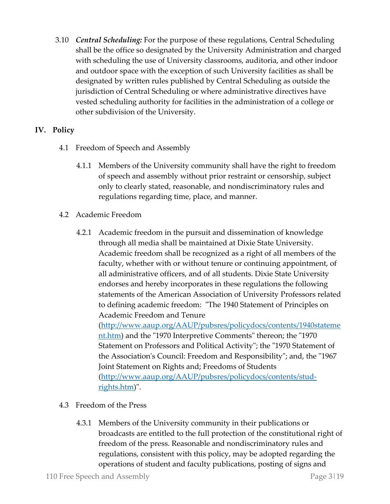3.10 *Central Scheduling:* For the purpose of these regulations, Central Scheduling shall be the office so designated by the University Administration and charged with scheduling the use of University classrooms, auditoria, and other indoor and outdoor space with the exception of such University facilities as shall be designated by written rules published by Central Scheduling as outside the jurisdiction of Central Scheduling or where administrative directives have vested scheduling authority for facilities in the administration of a college or other subdivision of the University.

# **IV. Policy**

- 4.1 Freedom of Speech and Assembly
	- 4.1.1 Members of the University community shall have the right to freedom of speech and assembly without prior restraint or censorship, subject only to clearly stated, reasonable, and nondiscriminatory rules and regulations regarding time, place, and manner.
- 4.2 Academic Freedom
	- 4.2.1 Academic freedom in the pursuit and dissemination of knowledge through all media shall be maintained at Dixie State University. Academic freedom shall be recognized as a right of all members of the faculty, whether with or without tenure or continuing appointment, of all administrative officers, and of all students. Dixie State University endorses and hereby incorporates in these regulations the following statements of the American Association of University Professors related to defining academic freedom: "The 1940 Statement of Principles on Academic Freedom and Tenure [\(http://www.aaup.org/AAUP/pubsres/policydocs/contents/1940stateme](http://www.aaup.org/AAUP/pubsres/policydocs/contents/1940statement.htm) [nt.htm\)](http://www.aaup.org/AAUP/pubsres/policydocs/contents/1940statement.htm) and the "1970 Interpretive Comments" thereon; the "1970 Statement on Professors and Political Activity"; the "1970 Statement of the Association's Council: Freedom and Responsibility"; and, the "1967 Joint Statement on Rights and; Freedoms of Students [\(http://www.aaup.org/AAUP/pubsres/policydocs/contents/stud](http://www.aaup.org/AAUP/pubsres/policydocs/contents/stud-rights.htm)[rights.htm\)](http://www.aaup.org/AAUP/pubsres/policydocs/contents/stud-rights.htm)".
- 4.3 Freedom of the Press
	- 4.3.1 Members of the University community in their publications or broadcasts are entitled to the full protection of the constitutional right of freedom of the press. Reasonable and nondiscriminatory rules and regulations, consistent with this policy, may be adopted regarding the operations of student and faculty publications, posting of signs and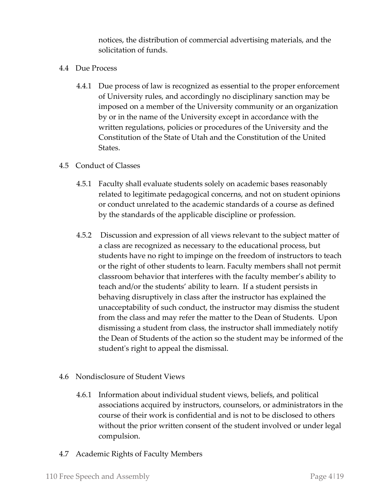notices, the distribution of commercial advertising materials, and the solicitation of funds.

- 4.4 Due Process
	- 4.4.1 Due process of law is recognized as essential to the proper enforcement of University rules, and accordingly no disciplinary sanction may be imposed on a member of the University community or an organization by or in the name of the University except in accordance with the written regulations, policies or procedures of the University and the Constitution of the State of Utah and the Constitution of the United States.

#### 4.5 Conduct of Classes

- 4.5.1 Faculty shall evaluate students solely on academic bases reasonably related to legitimate pedagogical concerns, and not on student opinions or conduct unrelated to the academic standards of a course as defined by the standards of the applicable discipline or profession.
- 4.5.2 Discussion and expression of all views relevant to the subject matter of a class are recognized as necessary to the educational process, but students have no right to impinge on the freedom of instructors to teach or the right of other students to learn. Faculty members shall not permit classroom behavior that interferes with the faculty member's ability to teach and/or the students' ability to learn. If a student persists in behaving disruptively in class after the instructor has explained the unacceptability of such conduct, the instructor may dismiss the student from the class and may refer the matter to the Dean of Students. Upon dismissing a student from class, the instructor shall immediately notify the Dean of Students of the action so the student may be informed of the student's right to appeal the dismissal.
- 4.6 Nondisclosure of Student Views
	- 4.6.1 Information about individual student views, beliefs, and political associations acquired by instructors, counselors, or administrators in the course of their work is confidential and is not to be disclosed to others without the prior written consent of the student involved or under legal compulsion.
- 4.7 Academic Rights of Faculty Members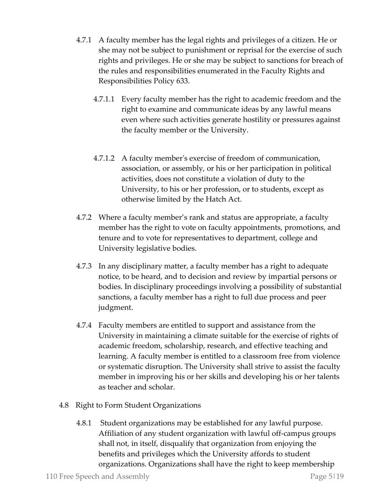- 4.7.1 A faculty member has the legal rights and privileges of a citizen. He or she may not be subject to punishment or reprisal for the exercise of such rights and privileges. He or she may be subject to sanctions for breach of the rules and responsibilities enumerated in the Faculty Rights and Responsibilities Policy 633.
	- 4.7.1.1 Every faculty member has the right to academic freedom and the right to examine and communicate ideas by any lawful means even where such activities generate hostility or pressures against the faculty member or the University.
	- 4.7.1.2 A faculty member's exercise of freedom of communication, association, or assembly, or his or her participation in political activities, does not constitute a violation of duty to the University, to his or her profession, or to students, except as otherwise limited by the Hatch Act.
- 4.7.2 Where a faculty member's rank and status are appropriate, a faculty member has the right to vote on faculty appointments, promotions, and tenure and to vote for representatives to department, college and University legislative bodies.
- 4.7.3 In any disciplinary matter, a faculty member has a right to adequate notice, to be heard, and to decision and review by impartial persons or bodies. In disciplinary proceedings involving a possibility of substantial sanctions, a faculty member has a right to full due process and peer judgment.
- 4.7.4 Faculty members are entitled to support and assistance from the University in maintaining a climate suitable for the exercise of rights of academic freedom, scholarship, research, and effective teaching and learning. A faculty member is entitled to a classroom free from violence or systematic disruption. The University shall strive to assist the faculty member in improving his or her skills and developing his or her talents as teacher and scholar.
- 4.8 Right to Form Student Organizations
	- 4.8.1 Student organizations may be established for any lawful purpose. Affiliation of any student organization with lawful off-campus groups shall not, in itself, disqualify that organization from enjoying the benefits and privileges which the University affords to student organizations. Organizations shall have the right to keep membership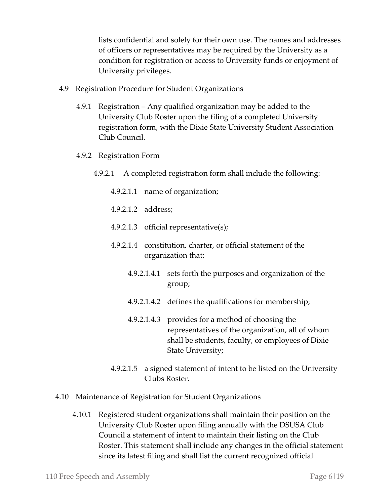lists confidential and solely for their own use. The names and addresses of officers or representatives may be required by the University as a condition for registration or access to University funds or enjoyment of University privileges.

- 4.9 Registration Procedure for Student Organizations
	- 4.9.1 Registration Any qualified organization may be added to the University Club Roster upon the filing of a completed University registration form, with the Dixie State University Student Association Club Council.
	- 4.9.2 Registration Form
		- 4.9.2.1 A completed registration form shall include the following:
			- 4.9.2.1.1 name of organization;
			- 4.9.2.1.2 address;
			- 4.9.2.1.3 official representative(s);
			- 4.9.2.1.4 constitution, charter, or official statement of the organization that:
				- 4.9.2.1.4.1 sets forth the purposes and organization of the group;
				- 4.9.2.1.4.2 defines the qualifications for membership;
				- 4.9.2.1.4.3 provides for a method of choosing the representatives of the organization, all of whom shall be students, faculty, or employees of Dixie State University;
			- 4.9.2.1.5 a signed statement of intent to be listed on the University Clubs Roster.
- 4.10 Maintenance of Registration for Student Organizations
	- 4.10.1 Registered student organizations shall maintain their position on the University Club Roster upon filing annually with the DSUSA Club Council a statement of intent to maintain their listing on the Club Roster. This statement shall include any changes in the official statement since its latest filing and shall list the current recognized official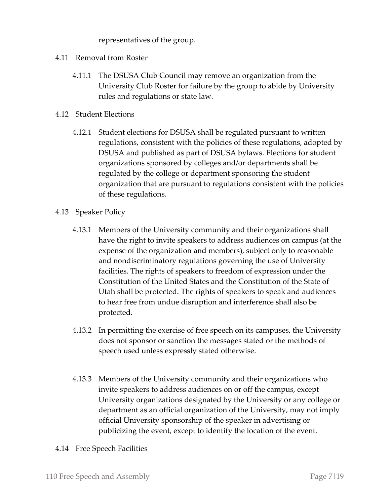representatives of the group.

- 4.11 Removal from Roster
	- 4.11.1 The DSUSA Club Council may remove an organization from the University Club Roster for failure by the group to abide by University rules and regulations or state law.
- 4.12 Student Elections
	- 4.12.1 Student elections for DSUSA shall be regulated pursuant to written regulations, consistent with the policies of these regulations, adopted by DSUSA and published as part of DSUSA bylaws. Elections for student organizations sponsored by colleges and/or departments shall be regulated by the college or department sponsoring the student organization that are pursuant to regulations consistent with the policies of these regulations.
- 4.13 Speaker Policy
	- 4.13.1 Members of the University community and their organizations shall have the right to invite speakers to address audiences on campus (at the expense of the organization and members), subject only to reasonable and nondiscriminatory regulations governing the use of University facilities. The rights of speakers to freedom of expression under the Constitution of the United States and the Constitution of the State of Utah shall be protected. The rights of speakers to speak and audiences to hear free from undue disruption and interference shall also be protected.
	- 4.13.2 In permitting the exercise of free speech on its campuses, the University does not sponsor or sanction the messages stated or the methods of speech used unless expressly stated otherwise.
	- 4.13.3 Members of the University community and their organizations who invite speakers to address audiences on or off the campus, except University organizations designated by the University or any college or department as an official organization of the University, may not imply official University sponsorship of the speaker in advertising or publicizing the event, except to identify the location of the event.
- 4.14 Free Speech Facilities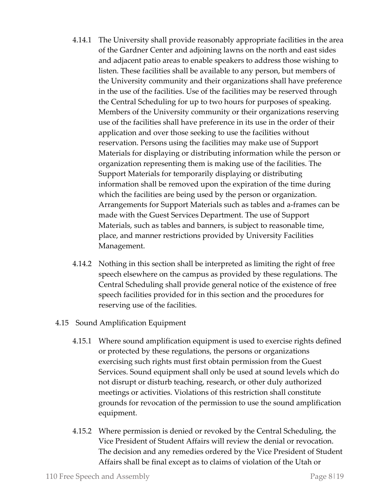- 4.14.1 The University shall provide reasonably appropriate facilities in the area of the Gardner Center and adjoining lawns on the north and east sides and adjacent patio areas to enable speakers to address those wishing to listen. These facilities shall be available to any person, but members of the University community and their organizations shall have preference in the use of the facilities. Use of the facilities may be reserved through the Central Scheduling for up to two hours for purposes of speaking. Members of the University community or their organizations reserving use of the facilities shall have preference in its use in the order of their application and over those seeking to use the facilities without reservation. Persons using the facilities may make use of Support Materials for displaying or distributing information while the person or organization representing them is making use of the facilities. The Support Materials for temporarily displaying or distributing information shall be removed upon the expiration of the time during which the facilities are being used by the person or organization. Arrangements for Support Materials such as tables and a-frames can be made with the Guest Services Department. The use of Support Materials, such as tables and banners, is subject to reasonable time, place, and manner restrictions provided by University Facilities Management.
- 4.14.2 Nothing in this section shall be interpreted as limiting the right of free speech elsewhere on the campus as provided by these regulations. The Central Scheduling shall provide general notice of the existence of free speech facilities provided for in this section and the procedures for reserving use of the facilities.
- 4.15 Sound Amplification Equipment
	- 4.15.1 Where sound amplification equipment is used to exercise rights defined or protected by these regulations, the persons or organizations exercising such rights must first obtain permission from the Guest Services. Sound equipment shall only be used at sound levels which do not disrupt or disturb teaching, research, or other duly authorized meetings or activities. Violations of this restriction shall constitute grounds for revocation of the permission to use the sound amplification equipment.
	- 4.15.2 Where permission is denied or revoked by the Central Scheduling, the Vice President of Student Affairs will review the denial or revocation. The decision and any remedies ordered by the Vice President of Student Affairs shall be final except as to claims of violation of the Utah or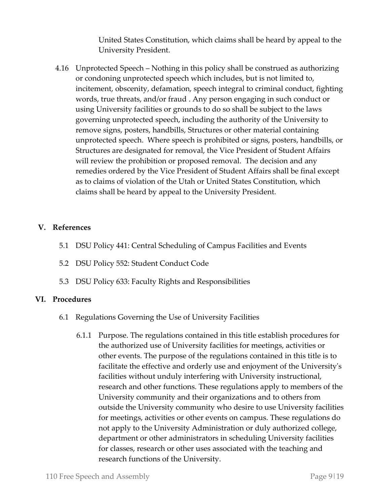United States Constitution, which claims shall be heard by appeal to the University President.

4.16 Unprotected Speech – Nothing in this policy shall be construed as authorizing or condoning unprotected speech which includes, but is not limited to, incitement, obscenity, defamation, speech integral to criminal conduct, fighting words, true threats, and/or fraud . Any person engaging in such conduct or using University facilities or grounds to do so shall be subject to the laws governing unprotected speech, including the authority of the University to remove signs, posters, handbills, Structures or other material containing unprotected speech. Where speech is prohibited or signs, posters, handbills, or Structures are designated for removal, the Vice President of Student Affairs will review the prohibition or proposed removal. The decision and any remedies ordered by the Vice President of Student Affairs shall be final except as to claims of violation of the Utah or United States Constitution, which claims shall be heard by appeal to the University President.

#### **V. References**

- 5.1 DSU Policy 441: Central Scheduling of Campus Facilities and Events
- 5.2 DSU Policy 552: Student Conduct Code
- 5.3 DSU Policy 633: Faculty Rights and Responsibilities

#### **VI. Procedures**

- 6.1 Regulations Governing the Use of University Facilities
	- 6.1.1 Purpose. The regulations contained in this title establish procedures for the authorized use of University facilities for meetings, activities or other events. The purpose of the regulations contained in this title is to facilitate the effective and orderly use and enjoyment of the University's facilities without unduly interfering with University instructional, research and other functions. These regulations apply to members of the University community and their organizations and to others from outside the University community who desire to use University facilities for meetings, activities or other events on campus. These regulations do not apply to the University Administration or duly authorized college, department or other administrators in scheduling University facilities for classes, research or other uses associated with the teaching and research functions of the University.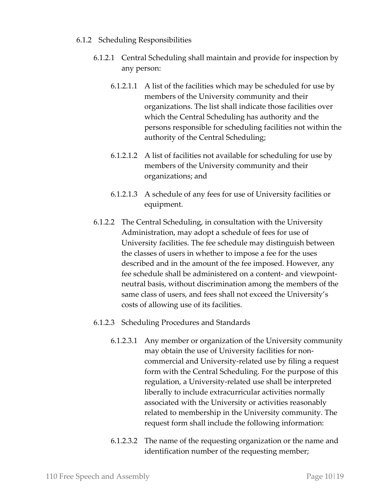- 6.1.2 Scheduling Responsibilities
	- 6.1.2.1 Central Scheduling shall maintain and provide for inspection by any person:
		- 6.1.2.1.1 A list of the facilities which may be scheduled for use by members of the University community and their organizations. The list shall indicate those facilities over which the Central Scheduling has authority and the persons responsible for scheduling facilities not within the authority of the Central Scheduling;
		- 6.1.2.1.2 A list of facilities not available for scheduling for use by members of the University community and their organizations; and
		- 6.1.2.1.3 A schedule of any fees for use of University facilities or equipment.
	- 6.1.2.2 The Central Scheduling, in consultation with the University Administration, may adopt a schedule of fees for use of University facilities. The fee schedule may distinguish between the classes of users in whether to impose a fee for the uses described and in the amount of the fee imposed. However, any fee schedule shall be administered on a content- and viewpointneutral basis, without discrimination among the members of the same class of users, and fees shall not exceed the University's costs of allowing use of its facilities.
	- 6.1.2.3 Scheduling Procedures and Standards
		- 6.1.2.3.1 Any member or organization of the University community may obtain the use of University facilities for noncommercial and University-related use by filing a request form with the Central Scheduling. For the purpose of this regulation, a University-related use shall be interpreted liberally to include extracurricular activities normally associated with the University or activities reasonably related to membership in the University community. The request form shall include the following information:
		- 6.1.2.3.2 The name of the requesting organization or the name and identification number of the requesting member;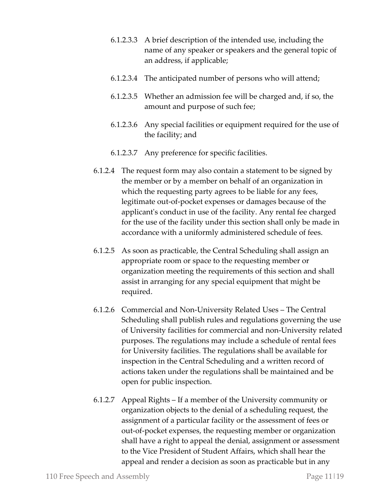- 6.1.2.3.3 A brief description of the intended use, including the name of any speaker or speakers and the general topic of an address, if applicable;
- 6.1.2.3.4 The anticipated number of persons who will attend;
- 6.1.2.3.5 Whether an admission fee will be charged and, if so, the amount and purpose of such fee;
- 6.1.2.3.6 Any special facilities or equipment required for the use of the facility; and
- 6.1.2.3.7 Any preference for specific facilities.
- 6.1.2.4 The request form may also contain a statement to be signed by the member or by a member on behalf of an organization in which the requesting party agrees to be liable for any fees, legitimate out-of-pocket expenses or damages because of the applicant's conduct in use of the facility. Any rental fee charged for the use of the facility under this section shall only be made in accordance with a uniformly administered schedule of fees.
- 6.1.2.5 As soon as practicable, the Central Scheduling shall assign an appropriate room or space to the requesting member or organization meeting the requirements of this section and shall assist in arranging for any special equipment that might be required.
- 6.1.2.6 Commercial and Non-University Related Uses The Central Scheduling shall publish rules and regulations governing the use of University facilities for commercial and non-University related purposes. The regulations may include a schedule of rental fees for University facilities. The regulations shall be available for inspection in the Central Scheduling and a written record of actions taken under the regulations shall be maintained and be open for public inspection.
- 6.1.2.7 Appeal Rights If a member of the University community or organization objects to the denial of a scheduling request, the assignment of a particular facility or the assessment of fees or out-of-pocket expenses, the requesting member or organization shall have a right to appeal the denial, assignment or assessment to the Vice President of Student Affairs, which shall hear the appeal and render a decision as soon as practicable but in any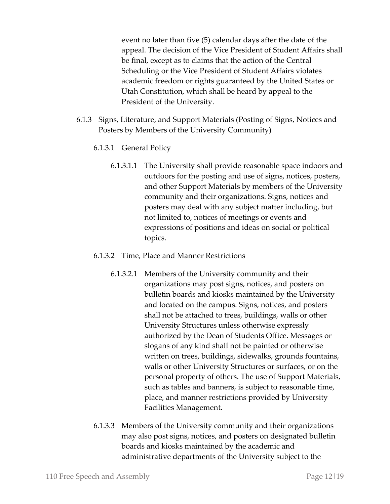event no later than five (5) calendar days after the date of the appeal. The decision of the Vice President of Student Affairs shall be final, except as to claims that the action of the Central Scheduling or the Vice President of Student Affairs violates academic freedom or rights guaranteed by the United States or Utah Constitution, which shall be heard by appeal to the President of the University.

- 6.1.3 Signs, Literature, and Support Materials (Posting of Signs, Notices and Posters by Members of the University Community)
	- 6.1.3.1 General Policy
		- 6.1.3.1.1 The University shall provide reasonable space indoors and outdoors for the posting and use of signs, notices, posters, and other Support Materials by members of the University community and their organizations. Signs, notices and posters may deal with any subject matter including, but not limited to, notices of meetings or events and expressions of positions and ideas on social or political topics.
	- 6.1.3.2 Time, Place and Manner Restrictions
		- 6.1.3.2.1 Members of the University community and their organizations may post signs, notices, and posters on bulletin boards and kiosks maintained by the University and located on the campus. Signs, notices, and posters shall not be attached to trees, buildings, walls or other University Structures unless otherwise expressly authorized by the Dean of Students Office. Messages or slogans of any kind shall not be painted or otherwise written on trees, buildings, sidewalks, grounds fountains, walls or other University Structures or surfaces, or on the personal property of others. The use of Support Materials, such as tables and banners, is subject to reasonable time, place, and manner restrictions provided by University Facilities Management.
	- 6.1.3.3 Members of the University community and their organizations may also post signs, notices, and posters on designated bulletin boards and kiosks maintained by the academic and administrative departments of the University subject to the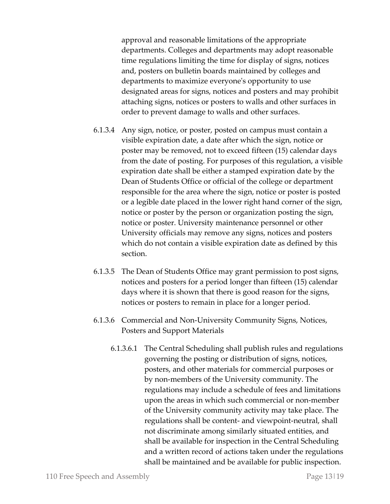approval and reasonable limitations of the appropriate departments. Colleges and departments may adopt reasonable time regulations limiting the time for display of signs, notices and, posters on bulletin boards maintained by colleges and departments to maximize everyone's opportunity to use designated areas for signs, notices and posters and may prohibit attaching signs, notices or posters to walls and other surfaces in order to prevent damage to walls and other surfaces.

- 6.1.3.4 Any sign, notice, or poster, posted on campus must contain a visible expiration date, a date after which the sign, notice or poster may be removed, not to exceed fifteen (15) calendar days from the date of posting. For purposes of this regulation, a visible expiration date shall be either a stamped expiration date by the Dean of Students Office or official of the college or department responsible for the area where the sign, notice or poster is posted or a legible date placed in the lower right hand corner of the sign, notice or poster by the person or organization posting the sign, notice or poster. University maintenance personnel or other University officials may remove any signs, notices and posters which do not contain a visible expiration date as defined by this section.
- 6.1.3.5 The Dean of Students Office may grant permission to post signs, notices and posters for a period longer than fifteen (15) calendar days where it is shown that there is good reason for the signs, notices or posters to remain in place for a longer period.
- 6.1.3.6 Commercial and Non-University Community Signs, Notices, Posters and Support Materials
	- 6.1.3.6.1 The Central Scheduling shall publish rules and regulations governing the posting or distribution of signs, notices, posters, and other materials for commercial purposes or by non-members of the University community. The regulations may include a schedule of fees and limitations upon the areas in which such commercial or non-member of the University community activity may take place. The regulations shall be content- and viewpoint-neutral, shall not discriminate among similarly situated entities, and shall be available for inspection in the Central Scheduling and a written record of actions taken under the regulations shall be maintained and be available for public inspection.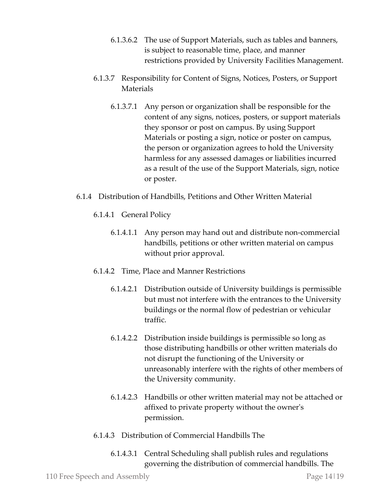- 6.1.3.6.2 The use of Support Materials, such as tables and banners, is subject to reasonable time, place, and manner restrictions provided by University Facilities Management.
- 6.1.3.7 Responsibility for Content of Signs, Notices, Posters, or Support Materials
	- 6.1.3.7.1 Any person or organization shall be responsible for the content of any signs, notices, posters, or support materials they sponsor or post on campus. By using Support Materials or posting a sign, notice or poster on campus, the person or organization agrees to hold the University harmless for any assessed damages or liabilities incurred as a result of the use of the Support Materials, sign, notice or poster.
- 6.1.4 Distribution of Handbills, Petitions and Other Written Material
	- 6.1.4.1 General Policy
		- 6.1.4.1.1 Any person may hand out and distribute non-commercial handbills, petitions or other written material on campus without prior approval.
	- 6.1.4.2 Time, Place and Manner Restrictions
		- 6.1.4.2.1 Distribution outside of University buildings is permissible but must not interfere with the entrances to the University buildings or the normal flow of pedestrian or vehicular traffic.
		- 6.1.4.2.2 Distribution inside buildings is permissible so long as those distributing handbills or other written materials do not disrupt the functioning of the University or unreasonably interfere with the rights of other members of the University community.
		- 6.1.4.2.3 Handbills or other written material may not be attached or affixed to private property without the owner's permission.
	- 6.1.4.3 Distribution of Commercial Handbills The
		- 6.1.4.3.1 Central Scheduling shall publish rules and regulations governing the distribution of commercial handbills. The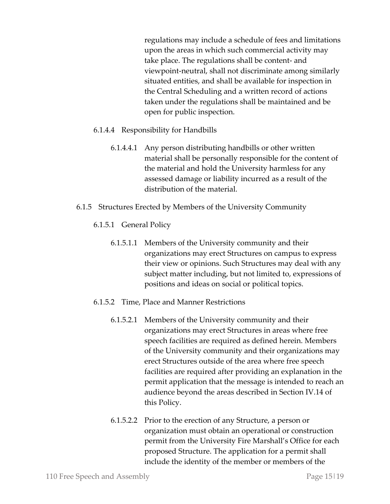regulations may include a schedule of fees and limitations upon the areas in which such commercial activity may take place. The regulations shall be content- and viewpoint-neutral, shall not discriminate among similarly situated entities, and shall be available for inspection in the Central Scheduling and a written record of actions taken under the regulations shall be maintained and be open for public inspection.

- 6.1.4.4 Responsibility for Handbills
	- 6.1.4.4.1 Any person distributing handbills or other written material shall be personally responsible for the content of the material and hold the University harmless for any assessed damage or liability incurred as a result of the distribution of the material.
- 6.1.5 Structures Erected by Members of the University Community
	- 6.1.5.1 General Policy
		- 6.1.5.1.1 Members of the University community and their organizations may erect Structures on campus to express their view or opinions. Such Structures may deal with any subject matter including, but not limited to, expressions of positions and ideas on social or political topics.
	- 6.1.5.2 Time, Place and Manner Restrictions
		- 6.1.5.2.1 Members of the University community and their organizations may erect Structures in areas where free speech facilities are required as defined herein. Members of the University community and their organizations may erect Structures outside of the area where free speech facilities are required after providing an explanation in the permit application that the message is intended to reach an audience beyond the areas described in Section IV.14 of this Policy.
		- 6.1.5.2.2 Prior to the erection of any Structure, a person or organization must obtain an operational or construction permit from the University Fire Marshall's Office for each proposed Structure. The application for a permit shall include the identity of the member or members of the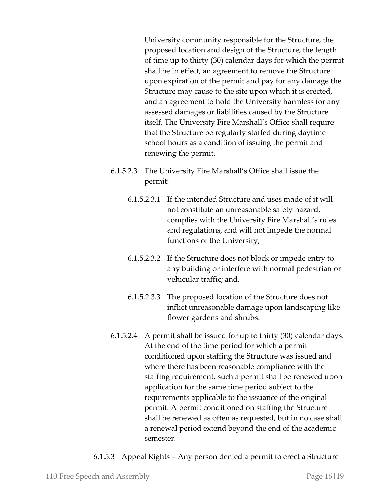University community responsible for the Structure, the proposed location and design of the Structure, the length of time up to thirty (30) calendar days for which the permit shall be in effect, an agreement to remove the Structure upon expiration of the permit and pay for any damage the Structure may cause to the site upon which it is erected, and an agreement to hold the University harmless for any assessed damages or liabilities caused by the Structure itself. The University Fire Marshall's Office shall require that the Structure be regularly staffed during daytime school hours as a condition of issuing the permit and renewing the permit.

- 6.1.5.2.3 The University Fire Marshall's Office shall issue the permit:
	- 6.1.5.2.3.1 If the intended Structure and uses made of it will not constitute an unreasonable safety hazard, complies with the University Fire Marshall's rules and regulations, and will not impede the normal functions of the University;
	- 6.1.5.2.3.2 If the Structure does not block or impede entry to any building or interfere with normal pedestrian or vehicular traffic; and,
	- 6.1.5.2.3.3 The proposed location of the Structure does not inflict unreasonable damage upon landscaping like flower gardens and shrubs.
- 6.1.5.2.4 A permit shall be issued for up to thirty (30) calendar days. At the end of the time period for which a permit conditioned upon staffing the Structure was issued and where there has been reasonable compliance with the staffing requirement, such a permit shall be renewed upon application for the same time period subject to the requirements applicable to the issuance of the original permit. A permit conditioned on staffing the Structure shall be renewed as often as requested, but in no case shall a renewal period extend beyond the end of the academic semester.
- 6.1.5.3 Appeal Rights Any person denied a permit to erect a Structure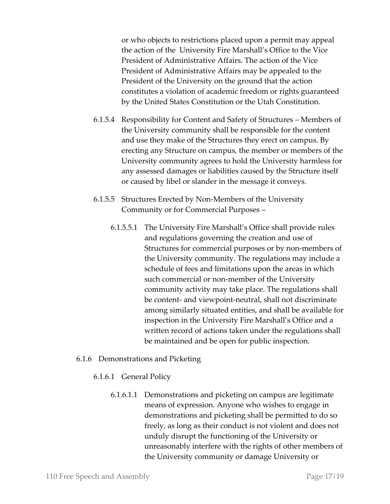or who objects to restrictions placed upon a permit may appeal the action of the University Fire Marshall's Office to the Vice President of Administrative Affairs. The action of the Vice President of Administrative Affairs may be appealed to the President of the University on the ground that the action constitutes a violation of academic freedom or rights guaranteed by the United States Constitution or the Utah Constitution.

- 6.1.5.4 Responsibility for Content and Safety of Structures Members of the University community shall be responsible for the content and use they make of the Structures they erect on campus. By erecting any Structure on campus, the member or members of the University community agrees to hold the University harmless for any assessed damages or liabilities caused by the Structure itself or caused by libel or slander in the message it conveys.
- 6.1.5.5 Structures Erected by Non-Members of the University Community or for Commercial Purposes –
	- 6.1.5.5.1 The University Fire Marshall's Office shall provide rules and regulations governing the creation and use of Structures for commercial purposes or by non-members of the University community. The regulations may include a schedule of fees and limitations upon the areas in which such commercial or non-member of the University community activity may take place. The regulations shall be content- and viewpoint-neutral, shall not discriminate among similarly situated entities, and shall be available for inspection in the University Fire Marshall's Office and a written record of actions taken under the regulations shall be maintained and be open for public inspection.
- 6.1.6 Demonstrations and Picketing

### 6.1.6.1 General Policy

6.1.6.1.1 Demonstrations and picketing on campus are legitimate means of expression. Anyone who wishes to engage in demonstrations and picketing shall be permitted to do so freely, as long as their conduct is not violent and does not unduly disrupt the functioning of the University or unreasonably interfere with the rights of other members of the University community or damage University or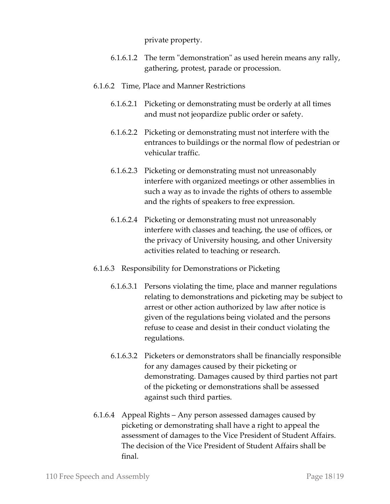private property.

- 6.1.6.1.2 The term "demonstration" as used herein means any rally, gathering, protest, parade or procession.
- 6.1.6.2 Time, Place and Manner Restrictions
	- 6.1.6.2.1 Picketing or demonstrating must be orderly at all times and must not jeopardize public order or safety.
	- 6.1.6.2.2 Picketing or demonstrating must not interfere with the entrances to buildings or the normal flow of pedestrian or vehicular traffic.
	- 6.1.6.2.3 Picketing or demonstrating must not unreasonably interfere with organized meetings or other assemblies in such a way as to invade the rights of others to assemble and the rights of speakers to free expression.
	- 6.1.6.2.4 Picketing or demonstrating must not unreasonably interfere with classes and teaching, the use of offices, or the privacy of University housing, and other University activities related to teaching or research.
- 6.1.6.3 Responsibility for Demonstrations or Picketing
	- 6.1.6.3.1 Persons violating the time, place and manner regulations relating to demonstrations and picketing may be subject to arrest or other action authorized by law after notice is given of the regulations being violated and the persons refuse to cease and desist in their conduct violating the regulations.
	- 6.1.6.3.2 Picketers or demonstrators shall be financially responsible for any damages caused by their picketing or demonstrating. Damages caused by third parties not part of the picketing or demonstrations shall be assessed against such third parties.
- 6.1.6.4 Appeal Rights Any person assessed damages caused by picketing or demonstrating shall have a right to appeal the assessment of damages to the Vice President of Student Affairs. The decision of the Vice President of Student Affairs shall be final.